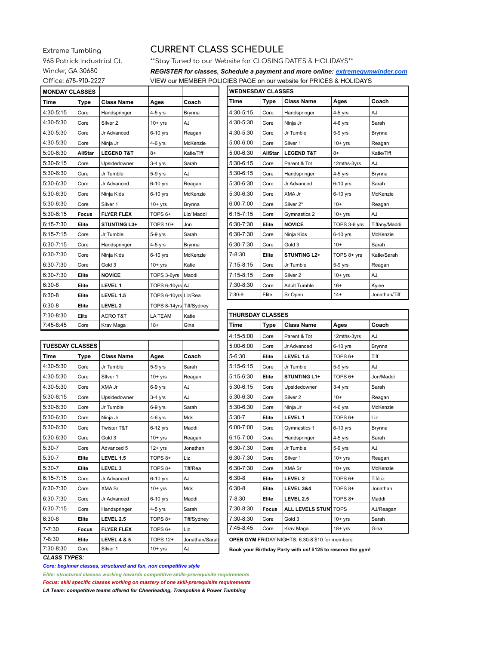Extreme Tumbling 965 Patrick Industrial Ct. Winder, GA 30680 Office: 678-910-2227

## **CURRENT CLASS SCHEDULE**

Ť

\*\* Stay Tuned to our Website for CLOSING DATES & HOLIDAYS\*\*

REGISTER for classes, Schedule a payment and more online: extremegymwinder.com VIEW our MEMBER POLICIES PAGE on our website for PRICES & HOLIDAYS

| <b>MONDAY CLASSES</b> |         |                       |                          |            |
|-----------------------|---------|-----------------------|--------------------------|------------|
| <b>Time</b>           | Type    | <b>Class Name</b>     | Ages                     | Coach      |
| 4:30-5:15             | Core    | Handspringer          | $4-5$ yrs                | Brynna     |
| 4:30-5:30             | Core    | Silver <sub>2</sub>   | $10+$ yrs                | AJ         |
| 4:30-5:30             | Core    | Jr Advanced           | 6-10 yrs                 | Reagan     |
| 4:30-5:30             | Core    | Ninja Jr              | $4-6$ yrs                | McKenzie   |
| 5:00-6:30             | AllStar | <b>LEGEND T&amp;T</b> | $8+$                     | Katie/Tiff |
| 5:30-6:15             | Core    | Upsidedowner          | $3-4$ yrs                | Sarah      |
| 5:30-6:30             | Core    | Jr Tumble             | 5-9 yrs                  | AJ         |
| 5:30-6:30             | Core    | Jr Advanced           | 6-10 yrs                 | Reagan     |
| 5:30-6:30             | Core    | Ninja Kids            | $6-10$ yrs               | McKenzie   |
| 5:30-6:30             | Core    | Silver <sub>1</sub>   | $10+$ yrs                | Brynna     |
| 5:30-6:15             | Focus   | <b>FLYER FLEX</b>     | TOPS <sub>6+</sub>       | Liz/ Maddi |
| $6:15 - 7:30$         | Elite   | <b>STUNTING L3+</b>   | <b>TOPS 10+</b>          | Jon        |
| $6:15 - 7:15$         | Core    | Jr Tumble             | 5-9 yrs                  | Sarah      |
| 6:30-7:15             | Core    | Handspringer          | $4-5$ yrs                | Brynna     |
| 6:30-7:30             | Core    | Ninja Kids            | 6-10 yrs                 | McKenzie   |
| 6:30-7:30             | Core    | Gold 3                | $10+$ yrs                | Katie      |
| 6:30-7:30             | Elite   | <b>NOVICE</b>         | TOPS 3-6yrs              | Maddi      |
| $6:30-8$              | Elite   | LEVEL 1               | TOPS 6-10yrs AJ          |            |
| $6:30-8$              | Elite   | LEVEL 1.5             | TOPS 6-10yrs Liz/Rea     |            |
| $6:30-8$              | Elite   | LEVEL <sub>2</sub>    | TOPS 8-14yrs Tiff/Sydney |            |
| 7:30-8:30             | Elite   | <b>ACRO T&amp;T</b>   | <b>LA TEAM</b>           | Katie      |
| 7:45-8:45             | Core    | Krav Maga             | $18+$                    | Gina       |

| <b>WEDNESDAY CLASSES</b> |                |                       |              |               |  |
|--------------------------|----------------|-----------------------|--------------|---------------|--|
| Time                     | <b>Type</b>    | <b>Class Name</b>     | Ages         | Coach         |  |
| 4:30-5:15                | Core           | Handspringer          | $4-5$ yrs    | AJ            |  |
| 4:30-5:30                | Core           | Ninja Jr              | $4-6$ yrs    | Sarah         |  |
| 4:30-5:30                | Core           | Jr Tumble             | 5-9 yrs      | Brynna        |  |
| 5:00-6:00                | Core           | Silver <sub>1</sub>   | $10+$ yrs    | Reagan        |  |
| $5:00 - 6:30$            | <b>AllStar</b> | <b>LEGEND T&amp;T</b> | $8+$         | Katie/Tiff    |  |
| 5:30-6:15                | Core           | Parent & Tot          | 12mths-3yrs  | AJ            |  |
| 5:30-6:15                | Core           | Handspringer          | $4-5$ yrs    | Brynna        |  |
| 5:30-6:30                | Core           | Jr Advanced           | 6-10 yrs     | Sarah         |  |
| 5:30-6:30                | Core           | XMA Jr                | 6-10 yrs     | McKenzie      |  |
| 6:00-7:00                | Core           | Silver 2*             | $10+$        | Reagan        |  |
| $6:15 - 7:15$            | Core           | Gymnastics 2          | $10+$ yrs    | AJ            |  |
| 6:30-7:30                | Elite          | <b>NOVICE</b>         | TOPS 3-6 yrs | Tiffany/Maddi |  |
| 6:30-7:30                | Core           | Ninja Kids            | 6-10 yrs     | McKenzie      |  |
| 6:30-7:30                | Core           | Gold 3                | $10+$        | Sarah         |  |
| 7-8:30                   | Elite          | <b>STUNTING L2+</b>   | TOPS 8+ yrs  | Katie/Sarah   |  |
| 7:15-8:15                | Core           | Jr Tumble             | $5-9$ yrs    | Reagan        |  |
| $7:15-8:15$              | Core           | Silver <sub>2</sub>   | $10+$ yrs    | AJ            |  |
| 7:30-8:30                | Core           | <b>Adult Tumble</b>   | $16+$        | Kylee         |  |
| $7:30-9$                 | Elite          | Sr Open               | $14+$        | Jonathan/Tiff |  |

| 1.70.70                | ◡◡៲੮         | May Maya               | יטו                | ەس             |                   |
|------------------------|--------------|------------------------|--------------------|----------------|-------------------|
|                        |              |                        |                    |                | $4:15-5$          |
| <b>TUESDAY CLASSES</b> |              |                        |                    |                | $5:00-6$          |
| <b>Time</b>            | <b>Type</b>  | <b>Class Name</b>      | Ages               | Coach          | 5-6:30            |
| 4:30-5:30              | Core         | Jr Tumble              | 5-9 yrs            | Sarah          | $5:15-6$          |
| 4:30-5:30              | Core         | Silver 1               | $10+$ yrs          | Reagan         | $5:15-6$          |
| 4:30-5:30              | Core         | XMA Jr                 | 6-9 yrs            | AJ             | $5:30-6$          |
| 5:30-6:15              | Core         | Upsidedowner           | $3-4$ yrs          | AJ             | $5:30-6$          |
| 5:30-6:30              | Core         | Jr Tumble              | 6-9 yrs            | Sarah          | $5:30-6$          |
| 5:30-6:30              | Core         | Ninja Jr               | $4-6$ yrs          | <b>Mck</b>     | $5:30-7$          |
| 5:30-6:30              | Core         | Twister T&T            | 6-12 yrs           | Maddi          | $6:00 - 7$        |
| 5:30-6:30              | Core         | Gold 3                 | $10+$ yrs          | Reagan         | $6:15 - 7$        |
| $5:30-7$               | Core         | Advanced 5             | $12+$ yrs          | Jonathan       | $6:30 - 7$        |
| $5:30-7$               | Elite        | LEVEL 1.5              | TOPS 8+            | Liz            | $6:30 - 7$        |
| $5:30-7$               | Elite        | LEVEL <sub>3</sub>     | TOPS <sub>8+</sub> | Tiff/Rea       | $6:30 - 7$        |
| $6:15 - 7:15$          | Core         | Jr Advanced            | 6-10 yrs           | AJ             | $6:30-8$          |
| 6:30-7:30              | Core         | XMA Sr                 | $10+$ yrs          | <b>Mck</b>     | $6:30-8$          |
| 6:30-7:30              | Core         | Jr Advanced            | 6-10 yrs           | Maddi          | 7-8:30            |
| $6:30 - 7:15$          | Core         | Handspringer           | $4-5$ yrs          | Sarah          | $7:30-8$          |
| $6:30-8$               | Elite        | LEVEL 2.5              | TOPS <sub>8+</sub> | Tiff/Sydney    | $7:30-8$          |
| $7 - 7:30$             | <b>Focus</b> | <b>FLYER FLEX</b>      | TOPS <sub>6+</sub> | Liz            | $7:45-8$          |
| $7 - 8:30$             | Elite        | <b>LEVEL 4 &amp; 5</b> | <b>TOPS 12+</b>    | Jonathan/Sarah | OPEN <sup>(</sup> |
| 7:30-8:30              | Core         | Silver <sub>1</sub>    | $10+$ yrs          | AJ             | Book y            |

| <b>THURSDAY CLASSES</b> |              |                              |                    |           |
|-------------------------|--------------|------------------------------|--------------------|-----------|
| <b>Time</b>             | <b>Type</b>  | <b>Class Name</b>            | Ages               | Coach     |
| 4:15-5:00               | Core         | Parent & Tot                 | 12mths-3yrs        | AJ        |
| 5:00-6:00               | Core         | Jr Advanced                  | 6-10 yrs           | Brynna    |
| $5 - 6:30$              | Elite        | LEVEL 1.5                    | TOPS <sub>6+</sub> | Tiff      |
| $5:15-6:15$             | Core         | Jr Tumble                    | 5-9 yrs            | AJ        |
| 5:15-6:30               | Elite        | <b>STUNTING L1+</b>          | TOPS <sub>6+</sub> | Jon/Maddi |
| $5:30-6:15$             | Core         | Upsidedowner                 | $3-4$ yrs          | Sarah     |
| 5:30-6:30               | Core         | Silver <sub>2</sub>          | $10+$              | Reagan    |
| 5:30-6:30               | Core         | Ninja Jr                     | $4-6$ yrs          | McKenzie  |
| $5:30 - 7$              | Elite        | LEVEL 1                      | TOPS <sub>6+</sub> | Liz       |
| $6:00 - 7:00$           | Core         | Gymnastics 1                 | 6-10 yrs           | Brynna    |
| $6:15 - 7:00$           | Core         | Handspringer                 | 4-5 yrs            | Sarah     |
| 6:30-7:30               | Core         | Jr Tumble                    | 5-9 yrs            | AJ        |
| 6:30-7:30               | Core         | Silver <sub>1</sub>          | $10+$ yrs          | Reagan    |
| 6:30-7:30               | Core         | <b>XMA Sr</b>                | $10+$ yrs          | McKenzie  |
| $6:30-8$                | Elite        | LEVEL <sub>2</sub>           | TOPS <sub>6+</sub> | Tif/Liz   |
| $6:30-8$                | Elite        | LEVEL 3&4                    | TOPS 8+            | Jonathan  |
| 7-8:30                  | Elite        | LEVEL 2.5                    | TOPS <sub>8+</sub> | Maddi     |
| 7:30-8:30               | <b>Focus</b> | <b>ALL LEVELS STUN1 TOPS</b> |                    | AJ/Reagan |
| 7:30-8:30               | Core         | Gold 3                       | $10+$ yrs          | Sarah     |
| 7:45-8:45               | Core         | Krav Maga                    | $18 + yrs$         | Gina      |

GYM FRIDAY NIGHTS: 6:30-8 \$10 for members

our Birthday Party with us! \$125 to reserve the gym!

## **CLASS TYPES:**

Core: beginner classes, structured and fun, non competitive style

Elite: structured classes working towards competitive skills-prerequisite requirements

Focus: skill specific classes working on mastery of one skill-prerequisite requirements

LA Team: competitive teams offered for Cheerleading, Trampoline & Power Tumbling